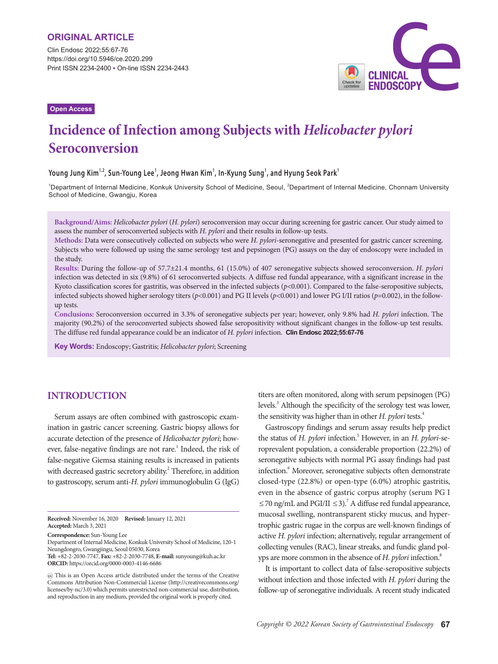Clin Endosc 2022;55:67-76 https://doi.org/10.5946/ce.2020.299 Print ISSN 2234-2400 • On-line ISSN 2234-2443



#### **Open Access**

# **Incidence of Infection among Subjects with** *Helicobacter pylori*  **Seroconversion**

#### **Young Jung Kim1,2, Sun-Young Lee1 , Jeong Hwan Kim<sup>1</sup> , In-Kyung Sung<sup>1</sup> , and Hyung Seok Park<sup>1</sup>**

<sup>1</sup>Department of Internal Medicine, Konkuk University School of Medicine, Seoul, <sup>2</sup>Department of Internal Medicine, Chonnam University School of Medicine, Gwangju, Korea

**Background/Aims:** *Helicobacter pylori* (*H. pylori*) seroconversion may occur during screening for gastric cancer. Our study aimed to assess the number of seroconverted subjects with *H. pylori* and their results in follow-up tests.

**Methods:** Data were consecutively collected on subjects who were *H. pylori*-seronegative and presented for gastric cancer screening. Subjects who were followed up using the same serology test and pepsinogen (PG) assays on the day of endoscopy were included in the study.

**Results:** During the follow-up of 57.7±21.4 months, 61 (15.0%) of 407 seronegative subjects showed seroconversion. *H. pylori* infection was detected in six (9.8%) of 61 seroconverted subjects. A diffuse red fundal appearance, with a significant increase in the Kyoto classification scores for gastritis, was observed in the infected subjects (*p*<0.001). Compared to the false-seropositive subjects, infected subjects showed higher serology titers  $(p<0.001)$  and PG II levels  $(p<0.001)$  and lower PG I/II ratios  $(p=0.002)$ , in the followup tests.

**Conclusions:** Seroconversion occurred in 3.3% of seronegative subjects per year; however, only 9.8% had *H. pylori* infection. The majority (90.2%) of the seroconverted subjects showed false seropositivity without significant changes in the follow-up test results. The diffuse red fundal appearance could be an indicator of *H. pylori* infection. **Clin Endosc 2022;55:67-76**

**Key Words:** Endoscopy; Gastritis; *Helicobacter pylori*; Screening

## **INTRODUCTION**

Serum assays are often combined with gastroscopic examination in gastric cancer screening. Gastric biopsy allows for accurate detection of the presence of *Helicobacter pylori*; however, false-negative findings are not rare.<sup>1</sup> Indeed, the risk of false-negative Giemsa staining results is increased in patients with decreased gastric secretory ability.<sup>2</sup> Therefore, in addition to gastroscopy, serum anti-*H. pylori* immunoglobulin G (IgG)

titers are often monitored, along with serum pepsinogen (PG) levels.<sup>3</sup> Although the specificity of the serology test was lower, the sensitivity was higher than in other *H. pylori* tests.4

Gastroscopy findings and serum assay results help predict the status of *H. pylori* infection.<sup>5</sup> However, in an *H. pylori-se*roprevalent population, a considerable proportion (22.2%) of seronegative subjects with normal PG assay findings had past infection.<sup>6</sup> Moreover, seronegative subjects often demonstrate closed-type (22.8%) or open-type (6.0%) atrophic gastritis, even in the absence of gastric corpus atrophy (serum PG I ≤70 ng/mL and PGI/II ≤3).<sup>7</sup> A diffuse red fundal appearance, mucosal swelling, nontransparent sticky mucus, and hypertrophic gastric rugae in the corpus are well-known findings of active *H. pylori* infection; alternatively, regular arrangement of collecting venules (RAC), linear streaks, and fundic gland polyps are more common in the absence of *H. pylori* infection.<sup>8</sup>

It is important to collect data of false-seropositive subjects without infection and those infected with *H. pylori* during the follow-up of seronegative individuals. A recent study indicated

**Received:** November 16, 2020 **Revised:** January 12, 2021 **Accepted:** March 3, 2021

**Correspondence:** Sun-Young Lee

Department of Internal Medicine, Konkuk University School of Medicine, 120-1 Neungdongro, Gwangjingu, Seoul 05030, Korea

**Tel:** +82-2-2030-7747, **Fax:** +82-2-2030-7748, **E-mail:** sunyoung@kuh.ac.kr **ORCID:** https://orcid.org/0000-0003-4146-6686

This is an Open Access article distributed under the terms of the Creative Commons Attribution Non-Commercial License (http://creativecommons.org/ licenses/by-nc/3.0) which permits unrestricted non-commercial use, distribution, and reproduction in any medium, provided the original work is properly cited.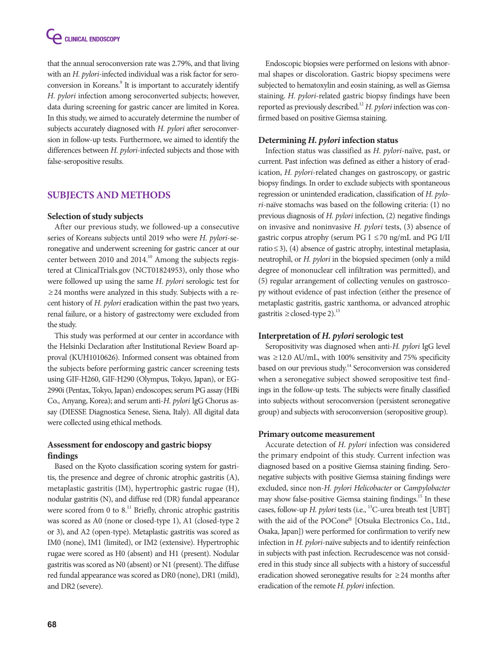that the annual seroconversion rate was 2.79%, and that living with an *H. pylori*-infected individual was a risk factor for seroconversion in Koreans.<sup>9</sup> It is important to accurately identify *H. pylori* infection among seroconverted subjects; however, data during screening for gastric cancer are limited in Korea. In this study, we aimed to accurately determine the number of subjects accurately diagnosed with *H. pylori* after seroconversion in follow-up tests. Furthermore, we aimed to identify the differences between *H. pylori*-infected subjects and those with false-seropositive results.

# **SUBJECTS AND METHODS**

## **Selection of study subjects**

After our previous study, we followed-up a consecutive series of Koreans subjects until 2019 who were *H. pylori*-seronegative and underwent screening for gastric cancer at our center between 2010 and 2014.<sup>10</sup> Among the subjects registered at ClinicalTrials.gov (NCT01824953), only those who were followed up using the same *H. pylori* serologic test for ≥24 months were analyzed in this study. Subjects with a recent history of *H. pylori* eradication within the past two years, renal failure, or a history of gastrectomy were excluded from the study.

This study was performed at our center in accordance with the Helsinki Declaration after Institutional Review Board approval (KUH1010626). Informed consent was obtained from the subjects before performing gastric cancer screening tests using GIF-H260, GIF-H290 (Olympus, Tokyo, Japan), or EG-2990i (Pentax, Tokyo, Japan) endoscopes; serum PG assay (HBi Co., Anyang, Korea); and serum anti-*H. pylori* IgG Chorus assay (DIESSE Diagnostica Senese, Siena, Italy). All digital data were collected using ethical methods.

# **Assessment for endoscopy and gastric biopsy findings**

Based on the Kyoto classification scoring system for gastritis, the presence and degree of chronic atrophic gastritis (A), metaplastic gastritis (IM), hypertrophic gastric rugae (H), nodular gastritis (N), and diffuse red (DR) fundal appearance were scored from 0 to  $8<sup>11</sup>$  Briefly, chronic atrophic gastritis was scored as A0 (none or closed-type 1), A1 (closed-type 2 or 3), and A2 (open-type). Metaplastic gastritis was scored as IM0 (none), IM1 (limited), or IM2 (extensive). Hypertrophic rugae were scored as H0 (absent) and H1 (present). Nodular gastritis was scored as N0 (absent) or N1 (present). The diffuse red fundal appearance was scored as DR0 (none), DR1 (mild), and DR2 (severe).

Endoscopic biopsies were performed on lesions with abnormal shapes or discoloration. Gastric biopsy specimens were subjected to hematoxylin and eosin staining, as well as Giemsa staining. *H. pylori*-related gastric biopsy findings have been reported as previously described.<sup>12</sup> *H. pylori* infection was confirmed based on positive Giemsa staining.

## **Determining** *H. pylori* **infection status**

Infection status was classified as *H. pylori*-naïve, past, or current. Past infection was defined as either a history of eradication, *H. pylori*-related changes on gastroscopy, or gastric biopsy findings. In order to exclude subjects with spontaneous regression or unintended eradication, classification of *H. pylori*-naïve stomachs was based on the following criteria: (1) no previous diagnosis of *H. pylori* infection, (2) negative findings on invasive and noninvasive *H. pylori* tests, (3) absence of gastric corpus atrophy (serum PG I  $\leq$  70 ng/mL and PG I/II ratio≤3), (4) absence of gastric atrophy, intestinal metaplasia, neutrophil, or *H. pylori* in the biopsied specimen (only a mild degree of mononuclear cell infiltration was permitted), and (5) regular arrangement of collecting venules on gastroscopy without evidence of past infection (either the presence of metaplastic gastritis, gastric xanthoma, or advanced atrophic gastritis  $\geq$  closed-type 2).<sup>13</sup>

## **Interpretation of** *H. pylori* **serologic test**

Seropositivity was diagnosed when anti-*H. pylori* IgG level was  $\geq$  12.0 AU/mL, with 100% sensitivity and 75% specificity based on our previous study.<sup>14</sup> Seroconversion was considered when a seronegative subject showed seropositive test findings in the follow-up tests. The subjects were finally classified into subjects without seroconversion (persistent seronegative group) and subjects with seroconversion (seropositive group).

## **Primary outcome measurement**

Accurate detection of *H. pylori* infection was considered the primary endpoint of this study. Current infection was diagnosed based on a positive Giemsa staining finding. Seronegative subjects with positive Giemsa staining findings were excluded, since non-*H. pylori Helicobacter* or *Campylobacter* may show false-positive Giemsa staining findings.<sup>15</sup> In these cases, follow-up *H. pylori* tests (i.e., <sup>13</sup>C-urea breath test [UBT] with the aid of the POCone® [Otsuka Electronics Co., Ltd., Osaka, Japan]) were performed for confirmation to verify new infection in *H. pylori*-naïve subjects and to identify reinfection in subjects with past infection. Recrudescence was not considered in this study since all subjects with a history of successful eradication showed seronegative results for  $\geq$  24 months after eradication of the remote *H. pylori* infection.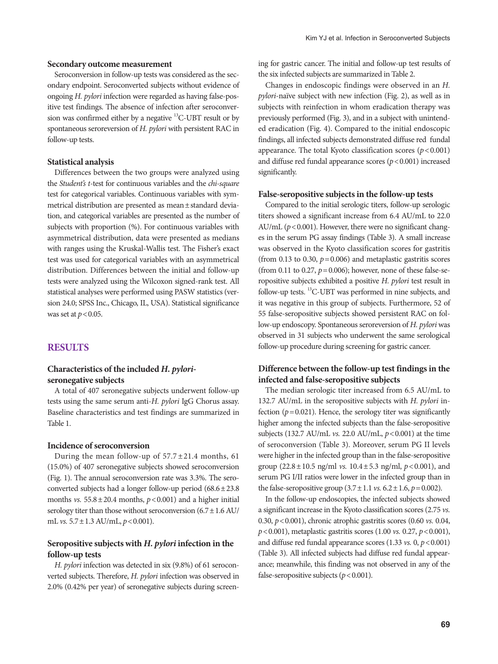#### **Secondary outcome measurement**

Seroconversion in follow-up tests was considered as the secondary endpoint. Seroconverted subjects without evidence of ongoing *H. pylori* infection were regarded as having false-positive test findings. The absence of infection after seroconversion was confirmed either by a negative 13C-UBT result or by spontaneous seroreversion of *H. pylori* with persistent RAC in follow-up tests.

#### **Statistical analysis**

Differences between the two groups were analyzed using the *Student's t*-test for continuous variables and the *chi-square* test for categorical variables. Continuous variables with symmetrical distribution are presented as mean±standard deviation, and categorical variables are presented as the number of subjects with proportion (%). For continuous variables with asymmetrical distribution, data were presented as medians with ranges using the Kruskal-Wallis test. The Fisher's exact test was used for categorical variables with an asymmetrical distribution. Differences between the initial and follow-up tests were analyzed using the Wilcoxon signed-rank test. All statistical analyses were performed using PASW statistics (version 24.0; SPSS Inc., Chicago, IL, USA). Statistical significance was set at  $p < 0.05$ .

## **RESULTS**

## **Characteristics of the included** *H. pylori***seronegative subjects**

A total of 407 seronegative subjects underwent follow-up tests using the same serum anti-*H. pylori* IgG Chorus assay. Baseline characteristics and test findings are summarized in Table 1.

#### **Incidence of seroconversion**

During the mean follow-up of  $57.7 \pm 21.4$  months, 61 (15.0%) of 407 seronegative subjects showed seroconversion (Fig. 1). The annual seroconversion rate was 3.3%. The seroconverted subjects had a longer follow-up period  $(68.6 \pm 23.8)$ months *vs.*  $55.8 \pm 20.4$  months,  $p < 0.001$ ) and a higher initial serology titer than those without seroconversion  $(6.7 \pm 1.6 \text{ AU})$ mL *vs.* 5.7±1.3 AU/mL, *p*<0.001).

## **Seropositive subjects with** *H. pylori* **infection in the follow-up tests**

*H. pylori* infection was detected in six (9.8%) of 61 seroconverted subjects. Therefore, *H. pylori* infection was observed in 2.0% (0.42% per year) of seronegative subjects during screening for gastric cancer. The initial and follow-up test results of the six infected subjects are summarized in Table 2.

Changes in endoscopic findings were observed in an *H. pylori*-naïve subject with new infection (Fig. 2), as well as in subjects with reinfection in whom eradication therapy was previously performed (Fig. 3), and in a subject with unintended eradication (Fig. 4). Compared to the initial endoscopic findings, all infected subjects demonstrated diffuse red fundal appearance. The total Kyoto classification scores  $(p < 0.001)$ and diffuse red fundal appearance scores (*p*<0.001) increased significantly.

#### **False-seropositive subjects in the follow-up tests**

Compared to the initial serologic titers, follow-up serologic titers showed a significant increase from 6.4 AU/mL to 22.0 AU/mL ( $p$ <0.001). However, there were no significant changes in the serum PG assay findings (Table 3). A small increase was observed in the Kyoto classification scores for gastritis (from 0.13 to 0.30,  $p = 0.006$ ) and metaplastic gastritis scores (from 0.11 to 0.27,  $p=0.006$ ); however, none of these false-seropositive subjects exhibited a positive *H. pylori* test result in follow-up tests. <sup>13</sup>C-UBT was performed in nine subjects, and it was negative in this group of subjects. Furthermore, 52 of 55 false-seropositive subjects showed persistent RAC on follow-up endoscopy. Spontaneous seroreversion of *H. pylori* was observed in 31 subjects who underwent the same serological follow-up procedure during screening for gastric cancer.

#### **Difference between the follow-up test findings in the infected and false-seropositive subjects**

The median serologic titer increased from 6.5 AU/mL to 132.7 AU/mL in the seropositive subjects with *H. pylori* infection  $(p=0.021)$ . Hence, the serology titer was significantly higher among the infected subjects than the false-seropositive subjects (132.7 AU/mL *vs.* 22.0 AU/mL, *p*<0.001) at the time of seroconversion (Table 3). Moreover, serum PG II levels were higher in the infected group than in the false-seropositive group (22.8±10.5 ng/ml *vs.* 10.4±5.3 ng/ml, *p*<0.001), and serum PG I/II ratios were lower in the infected group than in the false-seropositive group  $(3.7 \pm 1.1 \text{ vs. } 6.2 \pm 1.6, p = 0.002)$ .

In the follow-up endoscopies, the infected subjects showed a significant increase in the Kyoto classification scores (2.75 *vs.* 0.30, *p*<0.001), chronic atrophic gastritis scores (0.60 *vs.* 0.04, *p*<0.001), metaplastic gastritis scores (1.00 *vs.* 0.27, *p*<0.001), and diffuse red fundal appearance scores (1.33 *vs.* 0, *p*<0.001) (Table 3). All infected subjects had diffuse red fundal appearance; meanwhile, this finding was not observed in any of the false-seropositive subjects  $(p < 0.001)$ .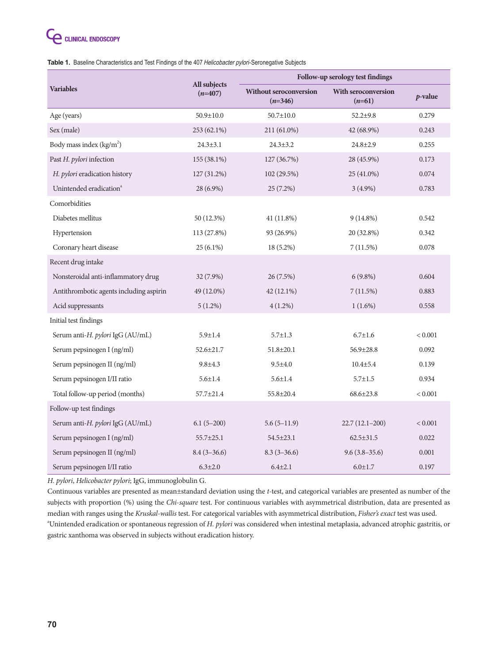# **C** CLINICAL ENDOSCOPY

Table 1. Baseline Characteristics and Test Findings of the 407 Helicobacter pylori-Seronegative Subjects

|                                         |                           | Follow-up serology test findings           |                                        |                 |  |  |  |
|-----------------------------------------|---------------------------|--------------------------------------------|----------------------------------------|-----------------|--|--|--|
| <b>Variables</b>                        | All subjects<br>$(n=407)$ | <b>Without seroconversion</b><br>$(n=346)$ | <b>With seroconversion</b><br>$(n=61)$ | <i>p</i> -value |  |  |  |
| Age (years)                             | $50.9 \pm 10.0$           | $50.7 \pm 10.0$                            | $52.2 \pm 9.8$                         | 0.279           |  |  |  |
| Sex (male)                              | 253 (62.1%)               | 211 (61.0%)                                | 42 (68.9%)                             | 0.243           |  |  |  |
| Body mass index (kg/m <sup>2</sup> )    | $24.3 \pm 3.1$            | $24.3 + 3.2$                               | $24.8 \pm 2.9$                         | 0.255           |  |  |  |
| Past H. pylori infection                | 155 (38.1%)               | 127 (36.7%)                                | 28 (45.9%)                             | 0.173           |  |  |  |
| H. pylori eradication history           | 127 (31.2%)               | 102 (29.5%)                                | 25 (41.0%)                             | 0.074           |  |  |  |
| Unintended eradication <sup>a</sup>     | 28 (6.9%)                 | $25(7.2\%)$                                | $3(4.9\%)$                             | 0.783           |  |  |  |
| Comorbidities                           |                           |                                            |                                        |                 |  |  |  |
| Diabetes mellitus                       | 50 (12.3%)                | 41 (11.8%)                                 | $9(14.8\%)$                            | 0.542           |  |  |  |
| Hypertension                            | 113 (27.8%)               | 93 (26.9%)                                 | 20 (32.8%)                             | 0.342           |  |  |  |
| Coronary heart disease                  | $25(6.1\%)$               | $18(5.2\%)$                                | 7(11.5%)                               | 0.078           |  |  |  |
| Recent drug intake                      |                           |                                            |                                        |                 |  |  |  |
| Nonsteroidal anti-inflammatory drug     | $32(7.9\%)$               | 26(7.5%)                                   | $6(9.8\%)$                             | 0.604           |  |  |  |
| Antithrombotic agents including aspirin | 49 (12.0%)                | 42 (12.1%)                                 | 7(11.5%)                               | 0.883           |  |  |  |
| Acid suppressants                       | $5(1.2\%)$                | $4(1.2\%)$                                 | $1(1.6\%)$                             | 0.558           |  |  |  |
| Initial test findings                   |                           |                                            |                                        |                 |  |  |  |
| Serum anti-H. pylori IgG (AU/mL)        | $5.9 \pm 1.4$             | $5.7 \pm 1.3$                              | $6.7 \pm 1.6$                          | < 0.001         |  |  |  |
| Serum pepsinogen I (ng/ml)              | $52.6 \pm 21.7$           | $51.8 \pm 20.1$                            | $56.9 \pm 28.8$                        | 0.092           |  |  |  |
| Serum pepsinogen II (ng/ml)             | $9.8 + 4.3$               | $9.5 + 4.0$                                | $10.4 \pm 5.4$                         | 0.139           |  |  |  |
| Serum pepsinogen I/II ratio             | $5.6 \pm 1.4$             | $5.6 \pm 1.4$                              | $5.7 \pm 1.5$                          | 0.934           |  |  |  |
| Total follow-up period (months)         | 57.7±21.4                 | 55.8±20.4                                  | $68.6 \pm 23.8$                        | < 0.001         |  |  |  |
| Follow-up test findings                 |                           |                                            |                                        |                 |  |  |  |
| Serum anti-H. pylori IgG (AU/mL)        | $6.1(5-200)$              | $5.6(5-11.9)$                              | $22.7(12.1-200)$                       | < 0.001         |  |  |  |
| Serum pepsinogen I (ng/ml)              | $55.7 \pm 25.1$           | $54.5 \pm 23.1$                            | $62.5 \pm 31.5$                        | 0.022           |  |  |  |
| Serum pepsinogen II (ng/ml)             | $8.4(3-36.6)$             | $8.3(3-36.6)$                              | $9.6(3.8-35.6)$                        | 0.001           |  |  |  |
| Serum pepsinogen I/II ratio             | $6.3 \pm 2.0$             | $6.4{\pm}2.1$                              | $6.0 \pm 1.7$                          | 0.197           |  |  |  |

*H. pylori*, *Helicobacter pylori*; IgG, immunoglobulin G.

Continuous variables are presented as mean±standard deviation using the *t-*test, and categorical variables are presented as number of the subjects with proportion (%) using the *Chi-square* test. For continuous variables with asymmetrical distribution, data are presented as median with ranges using the *Kruskal-wallis* test. For categorical variables with asymmetrical distribution, *Fisher's exact* test was used. a Unintended eradication or spontaneous regression of *H. pylori* was considered when intestinal metaplasia, advanced atrophic gastritis, or gastric xanthoma was observed in subjects without eradication history.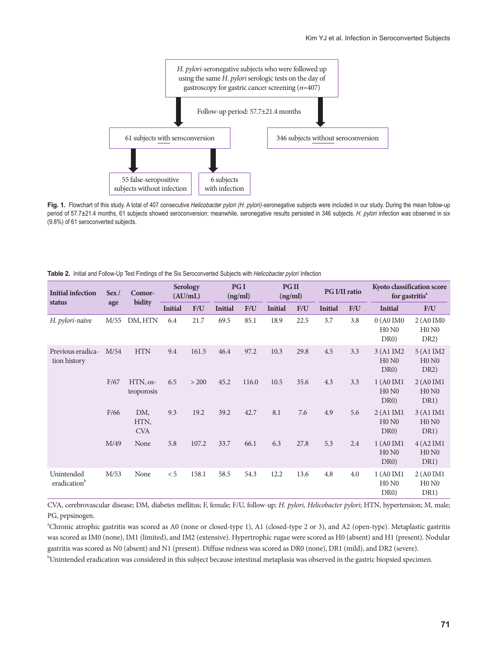

Fig. 1. Flowchart of this study. A total of 407 consecutive Helicobacter pylori (H. pylori)-seronegative subjects were included in our study. During the mean follow-up period of 57.7±21.4 months, 61 subjects showed seroconversion; meanwhile, seronegative results persisted in 346 subjects. H. pylori infection was observed in six (9.8%) of 61 seroconverted subjects.

|  |  |  | Table 2. Initial and Follow-Up Test Findings of the Six Seroconverted Subjects with Helicobacter pylori Infection |  |
|--|--|--|-------------------------------------------------------------------------------------------------------------------|--|
|--|--|--|-------------------------------------------------------------------------------------------------------------------|--|

| <b>Initial infection</b>          | Sex/<br>age | Comor-<br>bidity          | <b>Serology</b><br>(AU/mL) |       | PG I<br>(ng/ml) |       | <b>PGII</b><br>(ng/ml) |      | <b>PG I/II ratio</b> |     | Kyoto classification score<br>for gastritis <sup>a</sup> |                                         |
|-----------------------------------|-------------|---------------------------|----------------------------|-------|-----------------|-------|------------------------|------|----------------------|-----|----------------------------------------------------------|-----------------------------------------|
| status                            |             |                           | <b>Initial</b>             | F/U   | <b>Initial</b>  | F/U   | <b>Initial</b>         | F/U  | <b>Initial</b>       | F/U | <b>Initial</b>                                           | F/U                                     |
| H. pylori-naïve                   | M/55        | DM, HTN                   | 6.4                        | 21.7  | 69.5            | 85.1  | 18.9                   | 22.5 | 3.7                  | 3.8 | 0(A0IM0<br>H0 N0<br>DR <sub>0</sub>                      | 2 (A0 IM0<br>H0 N0<br>DR <sub>2</sub> ) |
| Previous eradica-<br>tion history | M/54        | <b>HTN</b>                | 9.4                        | 161.5 | 46.4            | 97.2  | 10.3                   | 29.8 | 4.5                  | 3.3 | 3 (A1 IM2<br>$H0$ N <sub>0</sub><br>DR <sub>0</sub>      | 5 (A1 IM2<br>H0 N0<br>DR <sub>2</sub> ) |
|                                   | F/67        | HTN, os-<br>teoporosis    | 6.5                        | > 200 | 45.2            | 116.0 | 10.5                   | 35.6 | 4.3                  | 3.3 | 1 (A0 IM1<br>H0 N0<br>DR <sub>0</sub>                    | 2 (A0 IM1<br>H0 N0<br>DR <sub>1</sub> ) |
|                                   | F/66        | DM,<br>HTN,<br><b>CVA</b> | 9.3                        | 19.2  | 39.2            | 42.7  | 8.1                    | 7.6  | 4.9                  | 5.6 | 2(A1IM1<br>H0 N0<br>DR <sub>0</sub>                      | 3 (A1 IM1<br>H0 N0<br>DR <sub>1</sub> ) |
|                                   | M/49        | None                      | 5.8                        | 107.2 | 33.7            | 66.1  | 6.3                    | 27.8 | 5.3                  | 2.4 | 1 (A0 IM1<br>H0 N0<br>DR <sub>0</sub>                    | 4 (A2 IM1<br>H0 N0<br>DR1)              |
| Unintended<br>eradication         | M/53        | None                      | < 5                        | 158.1 | 58.5            | 54.3  | 12.2                   | 13.6 | 4.8                  | 4.0 | 1 (A0 IM1<br>$H0$ N <sub>0</sub><br>DR <sub>0</sub>      | 2 (A0 IM1<br>H0 N0<br>DR1)              |

CVA, cerebrovascular disease; DM, diabetes mellitus; F, female; F/U, follow-up; *H. pylori, Helicobacter pylori*; HTN, hypertension; M, male; PG, pepsinogen.

a Chronic atrophic gastritis was scored as A0 (none or closed-type 1), A1 (closed-type 2 or 3), and A2 (open-type). Metaplastic gastritis was scored as IM0 (none), IM1 (limited), and IM2 (extensive). Hypertrophic rugae were scored as H0 (absent) and H1 (present). Nodular gastritis was scored as N0 (absent) and N1 (present). Diffuse redness was scored as DR0 (none), DR1 (mild), and DR2 (severe).

b Unintended eradication was considered in this subject because intestinal metaplasia was observed in the gastric biopsied specimen.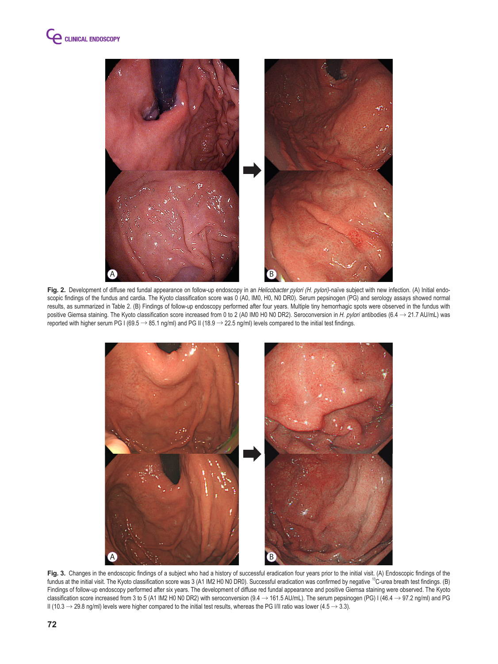

Fig. 2. Development of diffuse red fundal appearance on follow-up endoscopy in an *Helicobacter pylori* (H. pylori)-naïve subject with new infection. (A) Initial endoscopic findings of the fundus and cardia. The Kyoto classification score was 0 (A0, IM0, H0, N0 DR0). Serum pepsinogen (PG) and serology assays showed normal results, as summarized in Table 2. (B) Findings of follow-up endoscopy performed after four years. Multiple tiny hemorrhagic spots were observed in the fundus with positive Giemsa staining. The Kyoto classification score increased from 0 to 2 (A0 IM0 H0 N0 DR2). Seroconversion in H. pylori antibodies (6.4  $\rightarrow$  21.7 AU/mL) was reported with higher serum PG I (69.5  $\rightarrow$  85.1 ng/ml) and PG II (18.9  $\rightarrow$  22.5 ng/ml) levels compared to the initial test findings.



Fig. 3. Changes in the endoscopic findings of a subject who had a history of successful eradication four years prior to the initial visit. (A) Endoscopic findings of the fundus at the initial visit. The Kyoto classification score was 3 (A1 IM2 H0 N0 DR0). Successful eradication was confirmed by negative <sup>13</sup>C-urea breath test findings. (B) Findings of follow-up endoscopy performed after six years. The development of diffuse red fundal appearance and positive Giemsa staining were observed. The Kyoto classification score increased from 3 to 5 (A1 IM2 H0 N0 DR2) with seroconversion (9.4  $\rightarrow$  161.5 AU/mL). The serum pepsinogen (PG) I (46.4  $\rightarrow$  97.2 ng/ml) and PG II (10.3  $\rightarrow$  29.8 ng/ml) levels were higher compared to the initial test results, whereas the PG I/II ratio was lower (4.5  $\rightarrow$  3.3).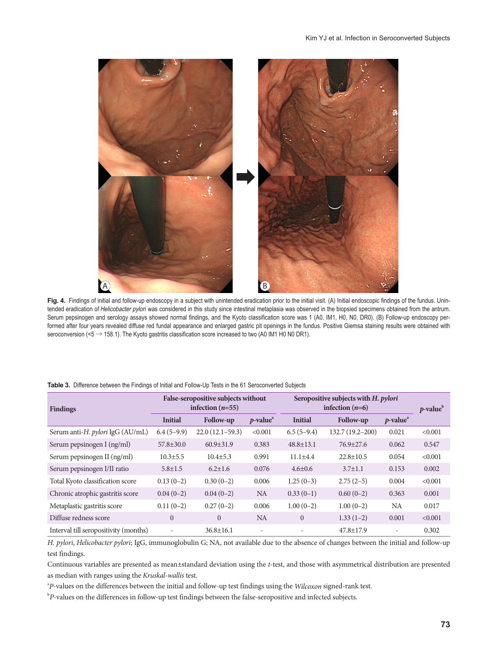

Fig. 4. Findings of initial and follow-up endoscopy in a subject with unintended eradication prior to the initial visit. (A) Initial endoscopic findings of the fundus. Unintended eradication of Helicobacter pylori was considered in this study since intestinal metaplasia was observed in the biopsied specimens obtained from the antrum. Serum pepsinogen and serology assays showed normal findings, and the Kyoto classification score was 1 (A0, IM1, H0, N0, DR0). (B) Follow-up endoscopy performed after four years revealed diffuse red fundal appearance and enlarged gastric pit openings in the fundus. Positive Giemsa staining results were obtained with seroconversion (<5  $\rightarrow$  158.1). The Kyoto gastritis classification score increased to two (A0 IM1 H0 N0 DR1).

| <b>Findings</b>                       |                          | False-seropositive subjects without<br>infection $(n=55)$ |                                      | Seropositive subjects with H. pylori<br>infection $(n=6)$ | $p$ -value       |                                      |         |
|---------------------------------------|--------------------------|-----------------------------------------------------------|--------------------------------------|-----------------------------------------------------------|------------------|--------------------------------------|---------|
|                                       | <b>Initial</b>           | <b>Follow-up</b>                                          | $p$ -value <sup><math>a</math></sup> | <b>Initial</b>                                            | Follow-up        | $p$ -value <sup><math>a</math></sup> |         |
| Serum anti-H. pylori IgG (AU/mL)      | $6.4(5-9.9)$             | $22.0(12.1-59.3)$                                         | < 0.001                              | $6.5(5-9.4)$                                              | 132.7 (19.2-200) | 0.021                                | < 0.001 |
| Serum pepsinogen I (ng/ml)            | $57.8 \pm 30.0$          | $60.9 \pm 31.9$                                           | 0.383                                | $48.8 \pm 13.1$                                           | $76.9 \pm 27.6$  | 0.062                                | 0.547   |
| Serum pepsinogen II (ng/ml)           | $10.3 \pm 5.5$           | $10.4 \pm 5.3$                                            | 0.991                                | $11.1 \pm 4.4$                                            | $22.8 \pm 10.5$  | 0.054                                | < 0.001 |
| Serum pepsinogen I/II ratio           | $5.8 \pm 1.5$            | $6.2 \pm 1.6$                                             | 0.076                                | $4.6 \pm 0.6$                                             | $3.7 \pm 1.1$    | 0.153                                | 0.002   |
| Total Kyoto classification score      | $0.13(0-2)$              | $0.30(0-2)$                                               | 0.006                                | $1.25(0-3)$                                               | $2.75(2-5)$      | 0.004                                | < 0.001 |
| Chronic atrophic gastritis score      | $0.04(0-2)$              | $0.04(0-2)$                                               | <b>NA</b>                            | $0.33(0-1)$                                               | $0.60(0-2)$      | 0.363                                | 0.001   |
| Metaplastic gastritis score           | $0.11(0-2)$              | $0.27(0-2)$                                               | 0.006                                | $1.00(0-2)$                                               | $1.00(0-2)$      | <b>NA</b>                            | 0.017   |
| Diffuse redness score                 | $\mathbf{0}$             | $\overline{0}$                                            | NA.                                  | $\overline{0}$                                            | $1.33(1-2)$      | 0.001                                | < 0.001 |
| Interval till seropositivity (months) | $\overline{\phantom{0}}$ | $36.8 \pm 16.1$                                           | $\overline{\phantom{a}}$             |                                                           | $47.8 \pm 17.9$  | $\overline{\phantom{a}}$             | 0.302   |

#### Table 3. Difference between the Findings of Initial and Follow-Up Tests in the 61 Seroconverted Subjects

*H. pylori*, *Helicobacter pylori*; IgG, immunoglobulin G; NA, not available due to the absence of changes between the initial and follow-up test findings.

Continuous variables are presented as mean±standard deviation using the *t*-test, and those with asymmetrical distribution are presented as median with ranges using the *Kruskal-wallis* test.

a *P*-values on the differences between the initial and follow-up test findings using the *Wilcoxon* signed-rank test.

b *P*-values on the differences in follow-up test findings between the false-seropositive and infected subjects.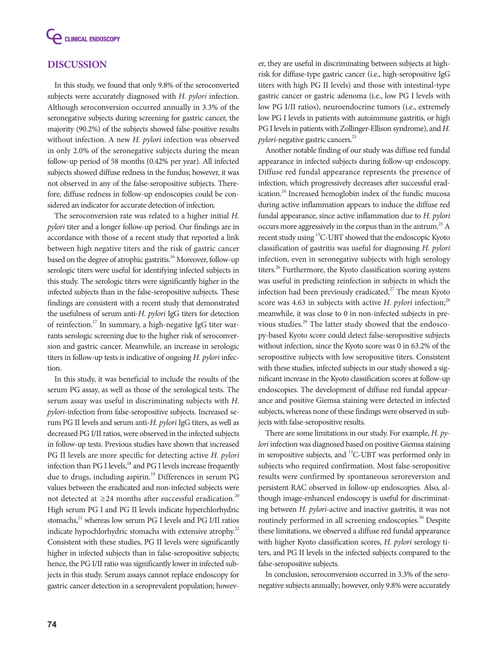

# **DISCUSSION**

In this study, we found that only 9.8% of the seroconverted subjects were accurately diagnosed with *H. pylori* infection. Although seroconversion occurred annually in 3.3% of the seronegative subjects during screening for gastric cancer, the majority (90.2%) of the subjects showed false-positive results without infection. A new *H. pylori* infection was observed in only 2.0% of the seronegative subjects during the mean follow-up period of 58 months (0.42% per year). All infected subjects showed diffuse redness in the fundus; however, it was not observed in any of the false-seropositive subjects. Therefore, diffuse redness in follow-up endoscopies could be considered an indicator for accurate detection of infection*.*

The seroconversion rate was related to a higher initial *H. pylori* titer and a longer follow-up period. Our findings are in accordance with those of a recent study that reported a link between high negative titers and the risk of gastric cancer based on the degree of atrophic gastritis.<sup>16</sup> Moreover, follow-up serologic titers were useful for identifying infected subjects in this study. The serologic titers were significantly higher in the infected subjects than in the false-seropositive subjects. These findings are consistent with a recent study that demonstrated the usefulness of serum anti-*H. pylori* IgG titers for detection of reinfection.17 In summary, a high-negative IgG titer warrants serologic screening due to the higher risk of seroconversion and gastric cancer. Meanwhile, an increase in serologic titers in follow-up tests is indicative of ongoing *H. pylori* infection.

In this study, it was beneficial to include the results of the serum PG assay, as well as those of the serological tests. The serum assay was useful in discriminating subjects with *H. pylori*-infection from false-seropositive subjects. Increased serum PG II levels and serum anti-*H. pylori* IgG titers, as well as decreased PG I/II ratios, were observed in the infected subjects in follow-up tests. Previous studies have shown that increased PG II levels are more specific for detecting active *H. pylori* infection than PG I levels,<sup>18</sup> and PG I levels increase frequently due to drugs, including aspirin.<sup>19</sup> Differences in serum PG values between the eradicated and non-infected subjects were not detected at  $\geq$ 24 months after successful eradication.<sup>20</sup> High serum PG I and PG II levels indicate hyperchlorhydric stomachs,<sup>21</sup> whereas low serum PG I levels and PG I/II ratios indicate hypochlorhydric stomachs with extensive atrophy.<sup>22</sup> Consistent with these studies, PG II levels were significantly higher in infected subjects than in false-seropositive subjects; hence, the PG I/II ratio was significantly lower in infected subjects in this study. Serum assays cannot replace endoscopy for gastric cancer detection in a seroprevalent population; howev-

er, they are useful in discriminating between subjects at highrisk for diffuse-type gastric cancer (i.e., high-seropositive IgG titers with high PG II levels) and those with intestinal-type gastric cancer or gastric adenoma (i.e., low PG I levels with low PG I/II ratios), neuroendocrine tumors (i.e., extremely low PG I levels in patients with autoimmune gastritis, or high PG I levels in patients with Zollinger-Ellison syndrome), and *H. pylori*-negative gastric cancers.<sup>23</sup>

Another notable finding of our study was diffuse red fundal appearance in infected subjects during follow-up endoscopy. Diffuse red fundal appearance represents the presence of infection, which progressively decreases after successful eradication.<sup>24</sup> Increased hemoglobin index of the fundic mucosa during active inflammation appears to induce the diffuse red fundal appearance, since active inflammation due to *H. pylori* occurs more aggressively in the corpus than in the antrum.<sup>25</sup> A recent study using 13C-UBT showed that the endoscopic Kyoto classification of gastritis was useful for diagnosing *H. pylori* infection, even in seronegative subjects with high serology titers.<sup>26</sup> Furthermore, the Kyoto classification scoring system was useful in predicting reinfection in subjects in which the infection had been previously eradicated.<sup>27</sup> The mean Kyoto score was 4.63 in subjects with active *H. pylori* infection;<sup>28</sup> meanwhile, it was close to 0 in non-infected subjects in previous studies.<sup>29</sup> The latter study showed that the endoscopy-based Kyoto score could detect false-seropositive subjects without infection, since the Kyoto score was 0 in 63.2% of the seropositive subjects with low seropositive titers. Consistent with these studies, infected subjects in our study showed a significant increase in the Kyoto classification scores at follow-up endoscopies. The development of diffuse red fundal appearance and positive Giemsa staining were detected in infected subjects, whereas none of these findings were observed in subjects with false-seropositive results.

There are some limitations in our study. For example, *H. pylori* infection was diagnosed based on positive Giemsa staining in seropositive subjects, and <sup>13</sup>C-UBT was performed only in subjects who required confirmation. Most false-seropositive results were confirmed by spontaneous seroreversion and persistent RAC observed in follow-up endoscopies. Also, although image-enhanced endoscopy is useful for discriminating between *H. pylori*-active and inactive gastritis, it was not routinely performed in all screening endoscopies.<sup>30</sup> Despite these limitations, we observed a diffuse red fundal appearance with higher Kyoto classification scores, *H. pylori* serology titers, and PG II levels in the infected subjects compared to the false-seropositive subjects.

In conclusion, seroconversion occurred in 3.3% of the seronegative subjects annually; however, only 9.8% were accurately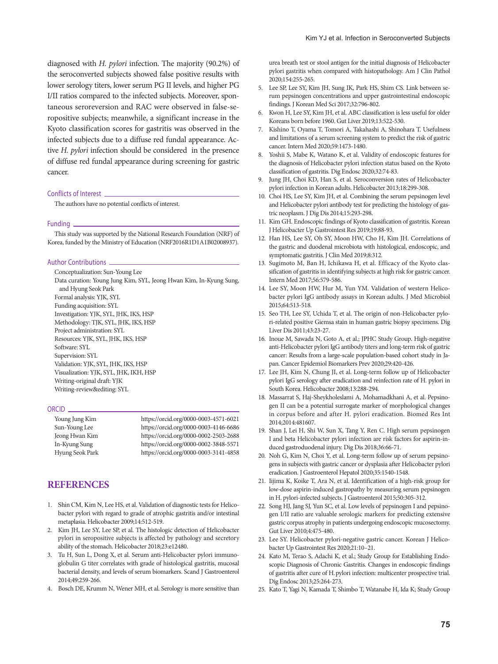diagnosed with *H. pylori* infection. The majority (90.2%) of the seroconverted subjects showed false positive results with lower serology titers, lower serum PG II levels, and higher PG I/II ratios compared to the infected subjects. Moreover, spontaneous seroreversion and RAC were observed in false-seropositive subjects; meanwhile, a significant increase in the Kyoto classification scores for gastritis was observed in the infected subjects due to a diffuse red fundal appearance. Active *H. pylori* infection should be considered in the presence of diffuse red fundal appearance during screening for gastric cancer.

#### Conflicts of Interest

The authors have no potential conflicts of interest.

#### Funding

This study was supported by the National Research Foundation (NRF) of Korea, funded by the Ministry of Education (NRF2016R1D1A1B02008937).

#### Author Contributions

Conceptualization: Sun-Young Lee Data curation: Young Jung Kim, SYL, Jeong Hwan Kim, In-Kyung Sung, and Hyung Seok Park Formal analysis: YJK, SYL Funding acquisition: SYL Investigation: YJK, SYL, JHK, IKS, HSP Methodology: TJK, SYL, JHK, IKS, HSP Project administration: SYL Resources: YJK, SYL, JHK, IKS, HSP Software: SYL Supervision: SYL Validation: YJK, SYL, JHK, IKS, HSP Visualization: YJK, SYL, JHK, IKH, HSP

#### ORCID<sub>\_</sub>

| Young Jung Kim  | https://orcid.org/0000-0003-4571-6021 |
|-----------------|---------------------------------------|
| Sun-Young Lee   | https://orcid.org/0000-0003-4146-6686 |
| Jeong Hwan Kim  | https://orcid.org/0000-0002-2503-2688 |
| In-Kyung Sung   | https://orcid.org/0000-0002-3848-5571 |
| Hyung Seok Park | https://orcid.org/0000-0003-3141-4858 |

## **REFERENCES**

Writing-original draft: YJK Writing-review&editing: SYL

- 1. Shin CM, Kim N, Lee HS, et al. Validation of diagnostic tests for Helicobacter pylori with regard to grade of atrophic gastritis and/or intestinal metaplasia. Helicobacter 2009;14:512-519.
- 2. Kim JH, Lee SY, Lee SP, et al. The histologic detection of Helicobacter pylori in seropositive subjects is affected by pathology and secretory ability of the stomach. Helicobacter 2018;23:e12480.
- 3. Tu H, Sun L, Dong X, et al. Serum anti-Helicobacter pylori immunoglobulin G titer correlates with grade of histological gastritis, mucosal bacterial density, and levels of serum biomarkers. Scand J Gastroenterol 2014;49:259-266.
- 4. Bosch DE, Krumm N, Wener MH, et al. Serology is more sensitive than

urea breath test or stool antigen for the initial diagnosis of Helicobacter pylori gastritis when compared with histopathology. Am J Clin Pathol 2020;154:255-265.

- 5. Lee SP, Lee SY, Kim JH, Sung IK, Park HS, Shim CS. Link between serum pepsinogen concentrations and upper gastrointestinal endoscopic findings. J Korean Med Sci 2017;32:796-802.
- 6. Kwon H, Lee SY, Kim JH, et al. ABC classification is less useful for older Koreans born before 1960. Gut Liver 2019;13:522-530.
- 7. Kishino T, Oyama T, Tomori A, Takahashi A, Shinohara T. Usefulness and limitations of a serum screening system to predict the risk of gastric cancer. Intern Med 2020;59:1473-1480.
- 8. Yoshii S, Mabe K, Watano K, et al. Validity of endoscopic features for the diagnosis of Helicobacter pylori infection status based on the Kyoto classification of gastritis. Dig Endosc 2020;32:74-83.
- 9. Jung JH, Choi KD, Han S, et al. Seroconversion rates of Helicobacter pylori infection in Korean adults. Helicobacter 2013;18:299-308.
- 10. Choi HS, Lee SY, Kim JH, et al. Combining the serum pepsinogen level and Helicobacter pylori antibody test for predicting the histology of gastric neoplasm. J Dig Dis 2014;15:293-298.
- 11. Kim GH. Endoscopic findings of Kyoto classification of gastritis. Korean J Helicobacter Up Gastrointest Res 2019;19:88-93.
- 12. Han HS, Lee SY, Oh SY, Moon HW, Cho H, Kim JH. Correlations of the gastric and duodenal microbiota with histological, endoscopic, and symptomatic gastritis. J Clin Med 2019;8:312.
- 13. Sugimoto M, Ban H, Ichikawa H, et al. Efficacy of the Kyoto classification of gastritis in identifying subjects at high risk for gastric cancer. Intern Med 2017;56:579-586.
- 14. Lee SY, Moon HW, Hur M, Yun YM. Validation of western Helicobacter pylori IgG antibody assays in Korean adults. J Med Microbiol 2015;64:513-518.
- 15. Seo TH, Lee SY, Uchida T, et al. The origin of non-Helicobacter pylori-related positive Giemsa stain in human gastric biopsy specimens. Dig Liver Dis 2011;43:23-27.
- 16. Inoue M, Sawada N, Goto A, et al.; JPHC Study Group. High-negative anti-Helicobacter pylori IgG antibody titers and long-term risk of gastric cancer: Results from a large-scale population-based cohort study in Japan. Cancer Epidemiol Biomarkers Prev 2020;29:420-426.
- 17. Lee JH, Kim N, Chung JI, et al. Long-term follow up of Helicobacter pylori IgG serology after eradication and reinfection rate of H. pylori in South Korea. Helicobacter 2008;13:288-294.
- 18. Massarrat S, Haj-Sheykholeslami A, Mohamadkhani A, et al. Pepsinogen II can be a potential surrogate marker of morphological changes in corpus before and after H. pylori eradication. Biomed Res Int 2014;2014:481607.
- 19. Shan J, Lei H, Shi W, Sun X, Tang Y, Ren C. High serum pepsinogen I and beta Helicobacter pylori infection are risk factors for aspirin-induced gastroduodenal injury. Dig Dis 2018;36:66-71.
- 20. Noh G, Kim N, Choi Y, et al. Long-term follow up of serum pepsinogens in subjects with gastric cancer or dysplasia after Helicobacter pylori eradication. J Gastroenterol Hepatol 2020;35:1540-1548.
- 21. Iijima K, Koike T, Ara N, et al. Identification of a high-risk group for low-dose aspirin-induced gastropathy by measuring serum pepsinogen in H. pylori-infected subjects. J Gastroenterol 2015;50:305-312.
- 22. Song HJ, Jang SJ, Yun SC, et al. Low levels of pepsinogen I and pepsinogen I/II ratio are valuable serologic markers for predicting extensive gastric corpus atrophy in patients undergoing endoscopic mucosectomy. Gut Liver 2010;4:475-480.
- 23. Lee SY. Helicobacter pylori-negative gastric cancer. Korean J Helicobacter Up Gastrointest Res 2020;21:10–21.
- 24. Kato M, Terao S, Adachi K, et al.; Study Group for Establishing Endoscopic Diagnosis of Chronic Gastritis. Changes in endoscopic findings of gastritis after cure of H.pylori infection: multicenter prospective trial. Dig Endosc 2013;25:264-273.
- 25. Kato T, Yagi N, Kamada T, Shimbo T, Watanabe H, Ida K; Study Group